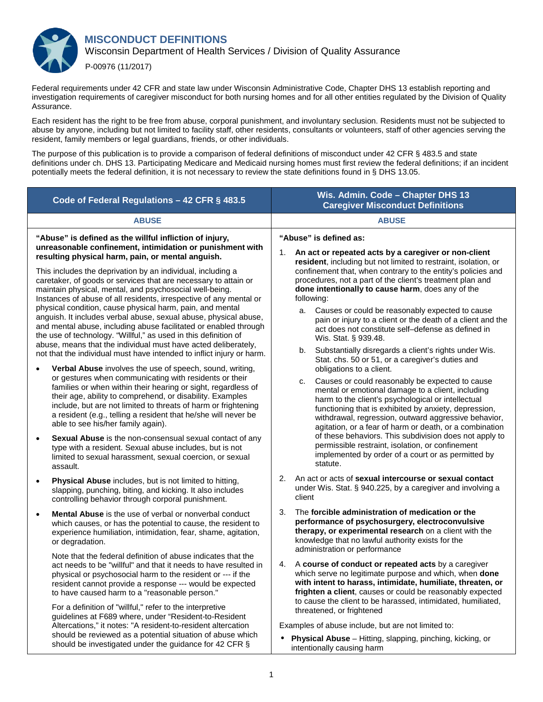

Federal requirements under 42 CFR and state law under Wisconsin Administrative Code, Chapter DHS 13 establish reporting and investigation requirements of caregiver misconduct for both nursing homes and for all other entities regulated by the Division of Quality Assurance.

Each resident has the right to be free from abuse, corporal punishment, and involuntary seclusion. Residents must not be subjected to abuse by anyone, including but not limited to facility staff, other residents, consultants or volunteers, staff of other agencies serving the resident, family members or legal guardians, friends, or other individuals.

The purpose of this publication is to provide a comparison of federal definitions of misconduct under 42 CFR § 483.5 and state definitions under ch. DHS 13. Participating Medicare and Medicaid nursing homes must first review the federal definitions; if an incident potentially meets the federal definition, it is not necessary to review the state definitions found in § DHS 13.05.

| Code of Federal Regulations - 42 CFR § 483.5                                                                                                                                                                                                                                                                                                                                                                                                                                                              | Wis. Admin. Code - Chapter DHS 13<br><b>Caregiver Misconduct Definitions</b>                                                                                                                                                                                                                                                                                                                                                                                                                                                                                                                                                                                                                                                                                                                                                                                                      |
|-----------------------------------------------------------------------------------------------------------------------------------------------------------------------------------------------------------------------------------------------------------------------------------------------------------------------------------------------------------------------------------------------------------------------------------------------------------------------------------------------------------|-----------------------------------------------------------------------------------------------------------------------------------------------------------------------------------------------------------------------------------------------------------------------------------------------------------------------------------------------------------------------------------------------------------------------------------------------------------------------------------------------------------------------------------------------------------------------------------------------------------------------------------------------------------------------------------------------------------------------------------------------------------------------------------------------------------------------------------------------------------------------------------|
| <b>ABUSE</b>                                                                                                                                                                                                                                                                                                                                                                                                                                                                                              | <b>ABUSE</b>                                                                                                                                                                                                                                                                                                                                                                                                                                                                                                                                                                                                                                                                                                                                                                                                                                                                      |
| "Abuse" is defined as the willful infliction of injury,<br>unreasonable confinement, intimidation or punishment with<br>resulting physical harm, pain, or mental anguish.<br>This includes the deprivation by an individual, including a<br>caretaker, of goods or services that are necessary to attain or<br>maintain physical, mental, and psychosocial well-being.<br>Instances of abuse of all residents, irrespective of any mental or<br>physical condition, cause physical harm, pain, and mental | "Abuse" is defined as:<br>An act or repeated acts by a caregiver or non-client<br>1.<br>resident, including but not limited to restraint, isolation, or<br>confinement that, when contrary to the entity's policies and<br>procedures, not a part of the client's treatment plan and<br>done intentionally to cause harm, does any of the<br>following:                                                                                                                                                                                                                                                                                                                                                                                                                                                                                                                           |
| anguish. It includes verbal abuse, sexual abuse, physical abuse,<br>and mental abuse, including abuse facilitated or enabled through<br>the use of technology. "Willful," as used in this definition of<br>abuse, means that the individual must have acted deliberately,<br>not that the individual must have intended to inflict injury or harm.                                                                                                                                                        | Causes or could be reasonably expected to cause<br>a.<br>pain or injury to a client or the death of a client and the<br>act does not constitute self-defense as defined in<br>Wis. Stat. § 939.48.<br>Substantially disregards a client's rights under Wis.<br>b.<br>Stat. chs. 50 or 51, or a caregiver's duties and<br>obligations to a client.<br>Causes or could reasonably be expected to cause<br>c.<br>mental or emotional damage to a client, including<br>harm to the client's psychological or intellectual<br>functioning that is exhibited by anxiety, depression,<br>withdrawal, regression, outward aggressive behavior,<br>agitation, or a fear of harm or death, or a combination<br>of these behaviors. This subdivision does not apply to<br>permissible restraint, isolation, or confinement<br>implemented by order of a court or as permitted by<br>statute. |
| Verbal Abuse involves the use of speech, sound, writing,<br>$\bullet$<br>or gestures when communicating with residents or their<br>families or when within their hearing or sight, regardless of<br>their age, ability to comprehend, or disability. Examples<br>include, but are not limited to threats of harm or frightening<br>a resident (e.g., telling a resident that he/she will never be<br>able to see his/her family again).                                                                   |                                                                                                                                                                                                                                                                                                                                                                                                                                                                                                                                                                                                                                                                                                                                                                                                                                                                                   |
| Sexual Abuse is the non-consensual sexual contact of any<br>$\bullet$<br>type with a resident. Sexual abuse includes, but is not<br>limited to sexual harassment, sexual coercion, or sexual<br>assault.                                                                                                                                                                                                                                                                                                  |                                                                                                                                                                                                                                                                                                                                                                                                                                                                                                                                                                                                                                                                                                                                                                                                                                                                                   |
| Physical Abuse includes, but is not limited to hitting,<br>$\bullet$<br>slapping, punching, biting, and kicking. It also includes<br>controlling behavior through corporal punishment.                                                                                                                                                                                                                                                                                                                    | 2.<br>An act or acts of sexual intercourse or sexual contact<br>under Wis. Stat. § 940.225, by a caregiver and involving a<br>client                                                                                                                                                                                                                                                                                                                                                                                                                                                                                                                                                                                                                                                                                                                                              |
| <b>Mental Abuse</b> is the use of verbal or nonverbal conduct<br>which causes, or has the potential to cause, the resident to<br>experience humiliation, intimidation, fear, shame, agitation,<br>or degradation.                                                                                                                                                                                                                                                                                         | The forcible administration of medication or the<br>3.<br>performance of psychosurgery, electroconvulsive<br>therapy, or experimental research on a client with the<br>knowledge that no lawful authority exists for the<br>administration or performance                                                                                                                                                                                                                                                                                                                                                                                                                                                                                                                                                                                                                         |
| Note that the federal definition of abuse indicates that the<br>act needs to be "willful" and that it needs to have resulted in<br>physical or psychosocial harm to the resident or --- if the<br>resident cannot provide a response --- would be expected<br>to have caused harm to a "reasonable person."                                                                                                                                                                                               | A course of conduct or repeated acts by a caregiver<br>4.<br>which serve no legitimate purpose and which, when done<br>with intent to harass, intimidate, humiliate, threaten, or<br>frighten a client, causes or could be reasonably expected<br>to cause the client to be harassed, intimidated, humiliated,                                                                                                                                                                                                                                                                                                                                                                                                                                                                                                                                                                    |
| For a definition of "willful," refer to the interpretive<br>guidelines at F689 where, under "Resident-to-Resident<br>Altercations," it notes: "A resident-to-resident altercation                                                                                                                                                                                                                                                                                                                         | threatened, or frightened<br>Examples of abuse include, but are not limited to:                                                                                                                                                                                                                                                                                                                                                                                                                                                                                                                                                                                                                                                                                                                                                                                                   |
| should be reviewed as a potential situation of abuse which<br>should be investigated under the guidance for 42 CFR §                                                                                                                                                                                                                                                                                                                                                                                      | Physical Abuse - Hitting, slapping, pinching, kicking, or<br>intentionally causing harm                                                                                                                                                                                                                                                                                                                                                                                                                                                                                                                                                                                                                                                                                                                                                                                           |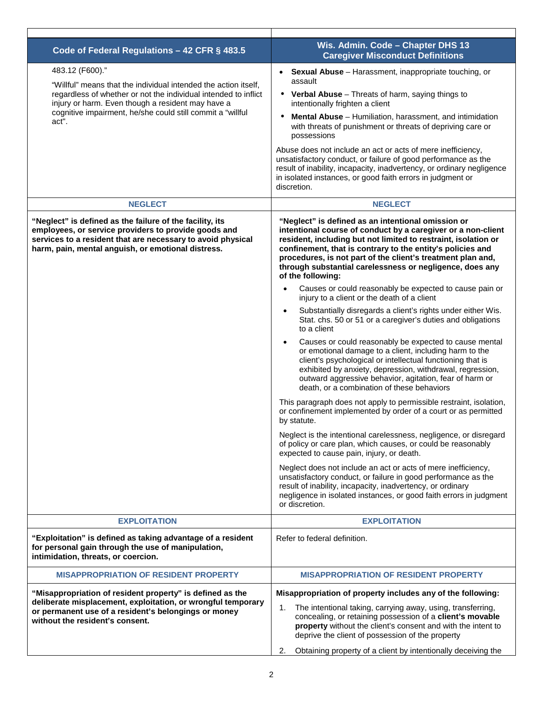| Code of Federal Regulations - 42 CFR § 483.5                                                                                                                                                                                                                                      | Wis. Admin. Code - Chapter DHS 13<br><b>Caregiver Misconduct Definitions</b>                                                                                                                                                                                                                                                                                                                                                                                                                                                                                                                                                                                                                                                                                                                                                                                                                                                                                                                                                                                                                                                                                                                                                                                                                                                                                                                                                                                        |
|-----------------------------------------------------------------------------------------------------------------------------------------------------------------------------------------------------------------------------------------------------------------------------------|---------------------------------------------------------------------------------------------------------------------------------------------------------------------------------------------------------------------------------------------------------------------------------------------------------------------------------------------------------------------------------------------------------------------------------------------------------------------------------------------------------------------------------------------------------------------------------------------------------------------------------------------------------------------------------------------------------------------------------------------------------------------------------------------------------------------------------------------------------------------------------------------------------------------------------------------------------------------------------------------------------------------------------------------------------------------------------------------------------------------------------------------------------------------------------------------------------------------------------------------------------------------------------------------------------------------------------------------------------------------------------------------------------------------------------------------------------------------|
| 483.12 (F600)."<br>"Willful" means that the individual intended the action itself,<br>regardless of whether or not the individual intended to inflict<br>injury or harm. Even though a resident may have a<br>cognitive impairment, he/she could still commit a "willful<br>act". | • Sexual Abuse - Harassment, inappropriate touching, or<br>assault<br>• Verbal Abuse - Threats of harm, saying things to<br>intentionally frighten a client<br>$\bullet$<br>Mental Abuse - Humiliation, harassment, and intimidation<br>with threats of punishment or threats of depriving care or<br>possessions<br>Abuse does not include an act or acts of mere inefficiency,<br>unsatisfactory conduct, or failure of good performance as the<br>result of inability, incapacity, inadvertency, or ordinary negligence<br>in isolated instances, or good faith errors in judgment or<br>discretion.                                                                                                                                                                                                                                                                                                                                                                                                                                                                                                                                                                                                                                                                                                                                                                                                                                                             |
| <b>NEGLECT</b>                                                                                                                                                                                                                                                                    | <b>NEGLECT</b>                                                                                                                                                                                                                                                                                                                                                                                                                                                                                                                                                                                                                                                                                                                                                                                                                                                                                                                                                                                                                                                                                                                                                                                                                                                                                                                                                                                                                                                      |
| "Neglect" is defined as the failure of the facility, its<br>employees, or service providers to provide goods and<br>services to a resident that are necessary to avoid physical<br>harm, pain, mental anguish, or emotional distress.                                             | "Neglect" is defined as an intentional omission or<br>intentional course of conduct by a caregiver or a non-client<br>resident, including but not limited to restraint, isolation or<br>confinement, that is contrary to the entity's policies and<br>procedures, is not part of the client's treatment plan and,<br>through substantial carelessness or negligence, does any<br>of the following:<br>Causes or could reasonably be expected to cause pain or<br>$\bullet$<br>injury to a client or the death of a client<br>Substantially disregards a client's rights under either Wis.<br>$\bullet$<br>Stat. chs. 50 or 51 or a caregiver's duties and obligations<br>to a client<br>Causes or could reasonably be expected to cause mental<br>$\bullet$<br>or emotional damage to a client, including harm to the<br>client's psychological or intellectual functioning that is<br>exhibited by anxiety, depression, withdrawal, regression,<br>outward aggressive behavior, agitation, fear of harm or<br>death, or a combination of these behaviors<br>This paragraph does not apply to permissible restraint, isolation,<br>or confinement implemented by order of a court or as permitted<br>by statute.<br>Neglect is the intentional carelessness, negligence, or disregard<br>of policy or care plan, which causes, or could be reasonably<br>expected to cause pain, injury, or death.<br>Neglect does not include an act or acts of mere inefficiency, |
|                                                                                                                                                                                                                                                                                   | unsatisfactory conduct, or failure in good performance as the<br>result of inability, incapacity, inadvertency, or ordinary<br>negligence in isolated instances, or good faith errors in judgment<br>or discretion.                                                                                                                                                                                                                                                                                                                                                                                                                                                                                                                                                                                                                                                                                                                                                                                                                                                                                                                                                                                                                                                                                                                                                                                                                                                 |
| <b>EXPLOITATION</b>                                                                                                                                                                                                                                                               | <b>EXPLOITATION</b>                                                                                                                                                                                                                                                                                                                                                                                                                                                                                                                                                                                                                                                                                                                                                                                                                                                                                                                                                                                                                                                                                                                                                                                                                                                                                                                                                                                                                                                 |
| "Exploitation" is defined as taking advantage of a resident<br>for personal gain through the use of manipulation,<br>intimidation, threats, or coercion.                                                                                                                          | Refer to federal definition.                                                                                                                                                                                                                                                                                                                                                                                                                                                                                                                                                                                                                                                                                                                                                                                                                                                                                                                                                                                                                                                                                                                                                                                                                                                                                                                                                                                                                                        |
| <b>MISAPPROPRIATION OF RESIDENT PROPERTY</b>                                                                                                                                                                                                                                      | <b>MISAPPROPRIATION OF RESIDENT PROPERTY</b>                                                                                                                                                                                                                                                                                                                                                                                                                                                                                                                                                                                                                                                                                                                                                                                                                                                                                                                                                                                                                                                                                                                                                                                                                                                                                                                                                                                                                        |
| "Misappropriation of resident property" is defined as the<br>deliberate misplacement, exploitation, or wrongful temporary<br>or permanent use of a resident's belongings or money<br>without the resident's consent.                                                              | Misappropriation of property includes any of the following:<br>The intentional taking, carrying away, using, transferring,<br>1.<br>concealing, or retaining possession of a client's movable<br>property without the client's consent and with the intent to<br>deprive the client of possession of the property<br>2.<br>Obtaining property of a client by intentionally deceiving the                                                                                                                                                                                                                                                                                                                                                                                                                                                                                                                                                                                                                                                                                                                                                                                                                                                                                                                                                                                                                                                                            |